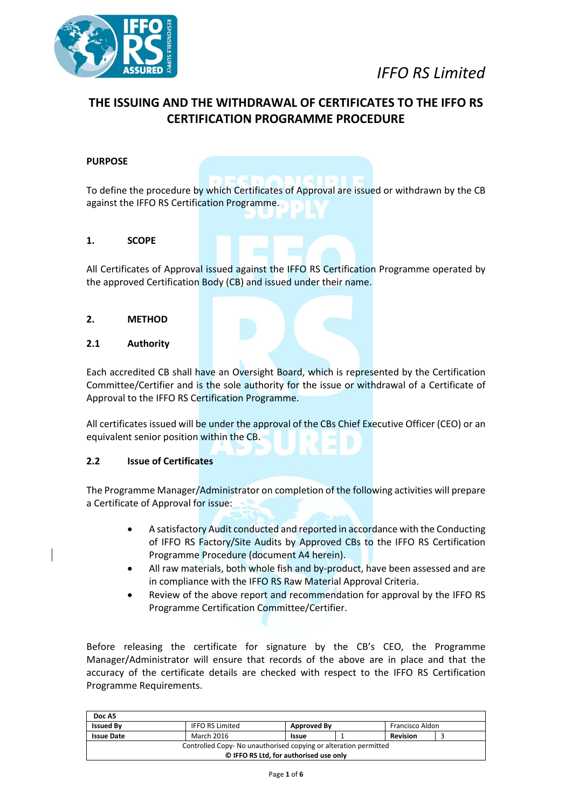

# **THE ISSUING AND THE WITHDRAWAL OF CERTIFICATES TO THE IFFO RS CERTIFICATION PROGRAMME PROCEDURE**

### **PURPOSE**

To define the procedure by which Certificates of Approval are issued or withdrawn by the CB against the IFFO RS Certification Programme.

#### **1. SCOPE**

All Certificates of Approval issued against the IFFO RS Certification Programme operated by the approved Certification Body (CB) and issued under their name.

#### **2. METHOD**

#### **2.1 Authority**

Each accredited CB shall have an Oversight Board, which is represented by the Certification Committee/Certifier and is the sole authority for the issue or withdrawal of a Certificate of Approval to the IFFO RS Certification Programme.

All certificates issued will be under the approval of the CBs Chief Executive Officer (CEO) or an equivalent senior position within the CB.

### **2.2 Issue of Certificates**

The Programme Manager/Administrator on completion of the following activities will prepare a Certificate of Approval for issue:

- A satisfactory Audit conducted and reported in accordance with the Conducting of IFFO RS Factory/Site Audits by Approved CBs to the IFFO RS Certification Programme Procedure (document A4 herein).
- All raw materials, both whole fish and by-product, have been assessed and are in compliance with the IFFO RS Raw Material Approval Criteria.
- Review of the above report and recommendation for approval by the IFFO RS Programme Certification Committee/Certifier.

Before releasing the certificate for signature by the CB's CEO, the Programme Manager/Administrator will ensure that records of the above are in place and that the accuracy of the certificate details are checked with respect to the IFFO RS Certification Programme Requirements.

| Doc A5                                                          |                                        |                                       |  |  |  |  |
|-----------------------------------------------------------------|----------------------------------------|---------------------------------------|--|--|--|--|
| <b>Issued By</b>                                                | <b>IFFO RS Limited</b>                 | Francisco Aldon<br><b>Approved By</b> |  |  |  |  |
| <b>Issue Date</b>                                               | March 2016<br><b>Revision</b><br>Issue |                                       |  |  |  |  |
| Controlled Copy-No unauthorised copying or alteration permitted |                                        |                                       |  |  |  |  |
| © IFFO RS Ltd, for authorised use only                          |                                        |                                       |  |  |  |  |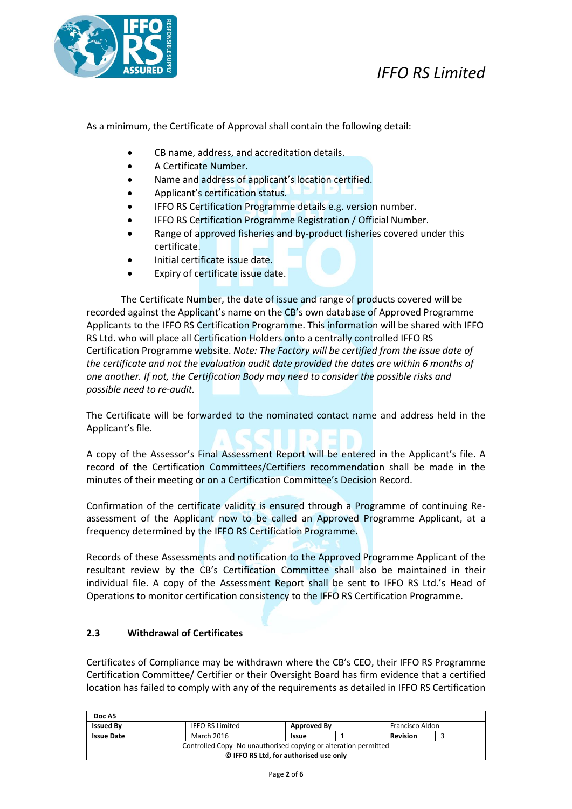

As a minimum, the Certificate of Approval shall contain the following detail:

- CB name, address, and accreditation details.
- A Certificate Number.
- Name and address of applicant's location certified.
- Applicant's certification status.
- IFFO RS Certification Programme details e.g. version number.
- IFFO RS Certification Programme Registration / Official Number.
- Range of approved fisheries and by-product fisheries covered under this certificate.
- Initial certificate issue date.
- Expiry of certificate issue date.

The Certificate Number, the date of issue and range of products covered will be recorded against the Applicant's name on the CB's own database of Approved Programme Applicants to the IFFO RS Certification Programme. This information will be shared with IFFO RS Ltd. who will place all Certification Holders onto a centrally controlled IFFO RS Certification Programme website. *Note: The Factory will be certified from the issue date of the certificate and not the evaluation audit date provided the dates are within 6 months of one another. If not, the Certification Body may need to consider the possible risks and possible need to re-audit.* 

The Certificate will be forwarded to the nominated contact name and address held in the Applicant's file.

A copy of the Assessor's Final Assessment Report will be entered in the Applicant's file. A record of the Certification Committees/Certifiers recommendation shall be made in the minutes of their meeting or on a Certification Committee's Decision Record.

Confirmation of the certificate validity is ensured through a Programme of continuing Reassessment of the Applicant now to be called an Approved Programme Applicant, at a frequency determined by the IFFO RS Certification Programme.

Records of these Assessments and notification to the Approved Programme Applicant of the resultant review by the CB's Certification Committee shall also be maintained in their individual file. A copy of the Assessment Report shall be sent to IFFO RS Ltd.'s Head of Operations to monitor certification consistency to the IFFO RS Certification Programme.

#### **2.3 Withdrawal of Certificates**

Certificates of Compliance may be withdrawn where the CB's CEO, their IFFO RS Programme Certification Committee/ Certifier or their Oversight Board has firm evidence that a certified location has failed to comply with any of the requirements as detailed in IFFO RS Certification

| Doc A5                                                          |                                               |                                |  |  |  |  |
|-----------------------------------------------------------------|-----------------------------------------------|--------------------------------|--|--|--|--|
| <b>Issued By</b>                                                | <b>IFFO RS Limited</b>                        | Francisco Aldon<br>Approved By |  |  |  |  |
| <b>Issue Date</b>                                               | March 2016<br><b>Revision</b><br><b>Issue</b> |                                |  |  |  |  |
| Controlled Copy-No unauthorised copying or alteration permitted |                                               |                                |  |  |  |  |
| © IFFO RS Ltd, for authorised use only                          |                                               |                                |  |  |  |  |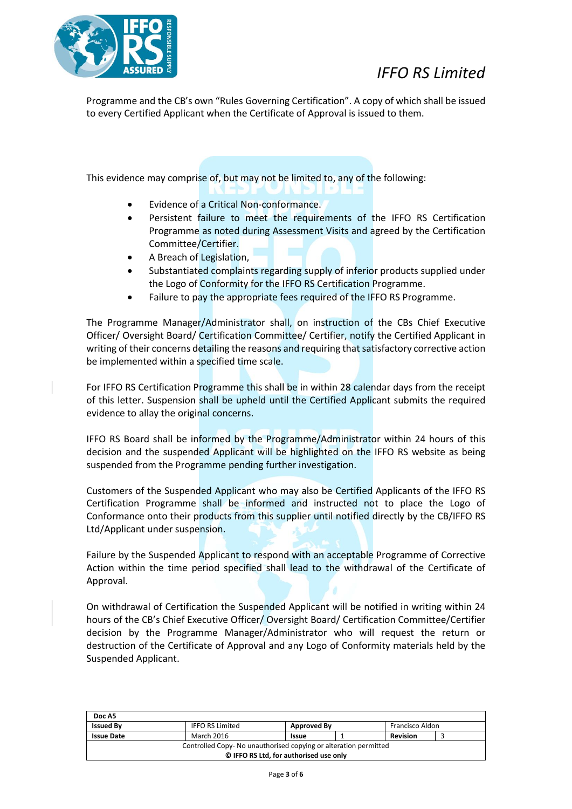

Programme and the CB's own "Rules Governing Certification". A copy of which shall be issued to every Certified Applicant when the Certificate of Approval is issued to them.

This evidence may comprise of, but may not be limited to, any of the following:

- Evidence of a Critical Non-conformance.
- Persistent failure to meet the requirements of the IFFO RS Certification Programme as noted during Assessment Visits and agreed by the Certification Committee/Certifier.
- A Breach of Legislation,
- Substantiated complaints regarding supply of inferior products supplied under the Logo of Conformity for the IFFO RS Certification Programme.
- Failure to pay the appropriate fees required of the IFFO RS Programme.

The Programme Manager/Administrator shall, on instruction of the CBs Chief Executive Officer/ Oversight Board/ Certification Committee/ Certifier, notify the Certified Applicant in writing of their concerns detailing the reasons and requiring that satisfactory corrective action be implemented within a specified time scale.

For IFFO RS Certification Programme this shall be in within 28 calendar days from the receipt of this letter. Suspension shall be upheld until the Certified Applicant submits the required evidence to allay the original concerns.

IFFO RS Board shall be informed by the Programme/Administrator within 24 hours of this decision and the suspended Applicant will be highlighted on the IFFO RS website as being suspended from the Programme pending further investigation.

Customers of the Suspended Applicant who may also be Certified Applicants of the IFFO RS Certification Programme shall be informed and instructed not to place the Logo of Conformance onto their products from this supplier until notified directly by the CB/IFFO RS Ltd/Applicant under suspension.

Failure by the Suspended Applicant to respond with an acceptable Programme of Corrective Action within the time period specified shall lead to the withdrawal of the Certificate of Approval.

On withdrawal of Certification the Suspended Applicant will be notified in writing within 24 hours of the CB's Chief Executive Officer/ Oversight Board/ Certification Committee/Certifier decision by the Programme Manager/Administrator who will request the return or destruction of the Certificate of Approval and any Logo of Conformity materials held by the Suspended Applicant.

| Doc A5                                                          |                                                          |  |  |  |  |  |
|-----------------------------------------------------------------|----------------------------------------------------------|--|--|--|--|--|
| <b>Issued By</b>                                                | <b>IFFO RS Limited</b><br>Francisco Aldon<br>Approved By |  |  |  |  |  |
| <b>Issue Date</b>                                               | March 2016<br><b>Revision</b><br><b>Issue</b>            |  |  |  |  |  |
| Controlled Copy-No unauthorised copying or alteration permitted |                                                          |  |  |  |  |  |
| © IFFO RS Ltd, for authorised use only                          |                                                          |  |  |  |  |  |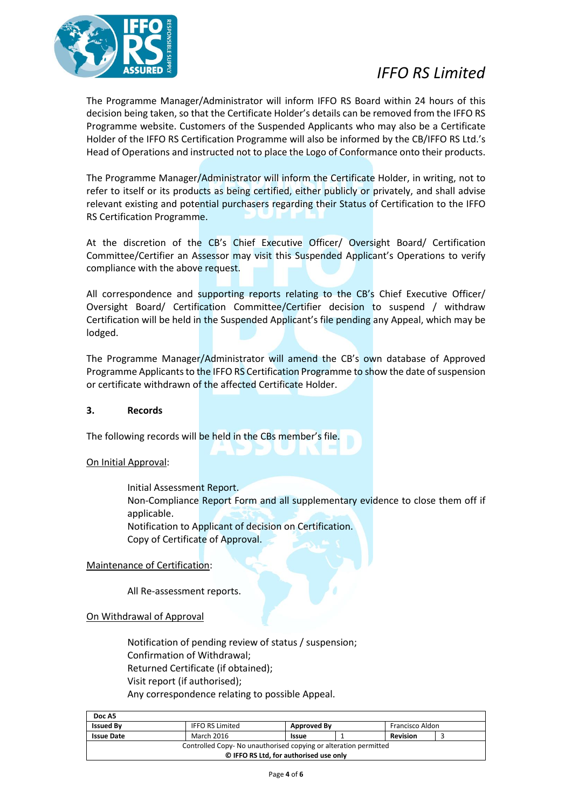

The Programme Manager/Administrator will inform IFFO RS Board within 24 hours of this decision being taken, so that the Certificate Holder's details can be removed from the IFFO RS Programme website. Customers of the Suspended Applicants who may also be a Certificate Holder of the IFFO RS Certification Programme will also be informed by the CB/IFFO RS Ltd.'s Head of Operations and instructed not to place the Logo of Conformance onto their products.

The Programme Manager/Administrator will inform the Certificate Holder, in writing, not to refer to itself or its products as being certified, either publicly or privately, and shall advise relevant existing and potential purchasers regarding their Status of Certification to the IFFO RS Certification Programme.

At the discretion of the CB's Chief Executive Officer/ Oversight Board/ Certification Committee/Certifier an Assessor may visit this Suspended Applicant's Operations to verify compliance with the above request.

All correspondence and supporting reports relating to the CB's Chief Executive Officer/ Oversight Board/ Certification Committee/Certifier decision to suspend / withdraw Certification will be held in the Suspended Applicant's file pending any Appeal, which may be lodged.

The Programme Manager/Administrator will amend the CB's own database of Approved Programme Applicants to the IFFO RS Certification Programme to show the date of suspension or certificate withdrawn of the affected Certificate Holder.

#### **3. Records**

The following records will be held in the CBs member's file.

#### On Initial Approval:

Initial Assessment Report. Non-Compliance Report Form and all supplementary evidence to close them off if applicable. Notification to Applicant of decision on Certification. Copy of Certificate of Approval.

### Maintenance of Certification:

All Re-assessment reports.

#### On Withdrawal of Approval

Notification of pending review of status / suspension; Confirmation of Withdrawal; Returned Certificate (if obtained); Visit report (if authorised); Any correspondence relating to possible Appeal.

| Doc A5                                                          |                        |                                 |  |  |  |  |
|-----------------------------------------------------------------|------------------------|---------------------------------|--|--|--|--|
| <b>Issued By</b>                                                | <b>IFFO RS Limited</b> | Francisco Aldon<br>Approved By  |  |  |  |  |
| <b>Issue Date</b>                                               | March 2016             | <b>Revision</b><br><b>Issue</b> |  |  |  |  |
| Controlled Copy-No unauthorised copying or alteration permitted |                        |                                 |  |  |  |  |
| © IFFO RS Ltd, for authorised use only                          |                        |                                 |  |  |  |  |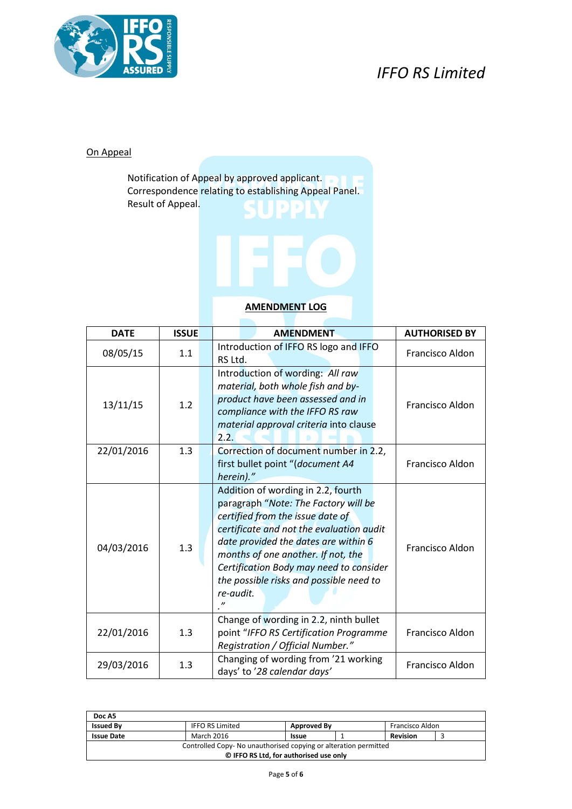

### On Appeal

Notification of Appeal by approved applicant. Correspondence relating to establishing Appeal Panel. Result of Appeal.



## **AMENDMENT LOG**

| <b>DATE</b> | <b>ISSUE</b> | <b>AMENDMENT</b>                                                                                                                                                                                                                                                                                                                            | <b>AUTHORISED BY</b> |
|-------------|--------------|---------------------------------------------------------------------------------------------------------------------------------------------------------------------------------------------------------------------------------------------------------------------------------------------------------------------------------------------|----------------------|
| 08/05/15    | 1.1          | Introduction of IFFO RS logo and IFFO<br>RS Ltd.                                                                                                                                                                                                                                                                                            | Francisco Aldon      |
| 13/11/15    | 1.2          | Introduction of wording: All raw<br>material, both whole fish and by-<br>product have been assessed and in<br>compliance with the IFFO RS raw<br>material approval criteria into clause<br>2.2.                                                                                                                                             | Francisco Aldon      |
| 22/01/2016  | 1.3          | Correction of document number in 2.2,<br>first bullet point "(document A4<br>herein)."                                                                                                                                                                                                                                                      | Francisco Aldon      |
| 04/03/2016  | 1.3          | Addition of wording in 2.2, fourth<br>paragraph "Note: The Factory will be<br>certified from the issue date of<br>certificate and not the evaluation audit<br>date provided the dates are within 6<br>months of one another. If not, the<br>Certification Body may need to consider<br>the possible risks and possible need to<br>re-audit. | Francisco Aldon      |
| 22/01/2016  | 1.3          | Change of wording in 2.2, ninth bullet<br>point "IFFO RS Certification Programme<br>Registration / Official Number."                                                                                                                                                                                                                        | Francisco Aldon      |
| 29/03/2016  | 1.3          | Changing of wording from '21 working<br>days' to '28 calendar days'                                                                                                                                                                                                                                                                         | Francisco Aldon      |

| Doc A5                                                          |                                                          |  |  |  |  |  |
|-----------------------------------------------------------------|----------------------------------------------------------|--|--|--|--|--|
| <b>Issued By</b>                                                | <b>IFFO RS Limited</b><br>Francisco Aldon<br>Approved By |  |  |  |  |  |
| <b>Issue Date</b>                                               | March 2016<br><b>Revision</b><br>Issue                   |  |  |  |  |  |
| Controlled Copy-No unauthorised copying or alteration permitted |                                                          |  |  |  |  |  |
| © IFFO RS Ltd, for authorised use only                          |                                                          |  |  |  |  |  |